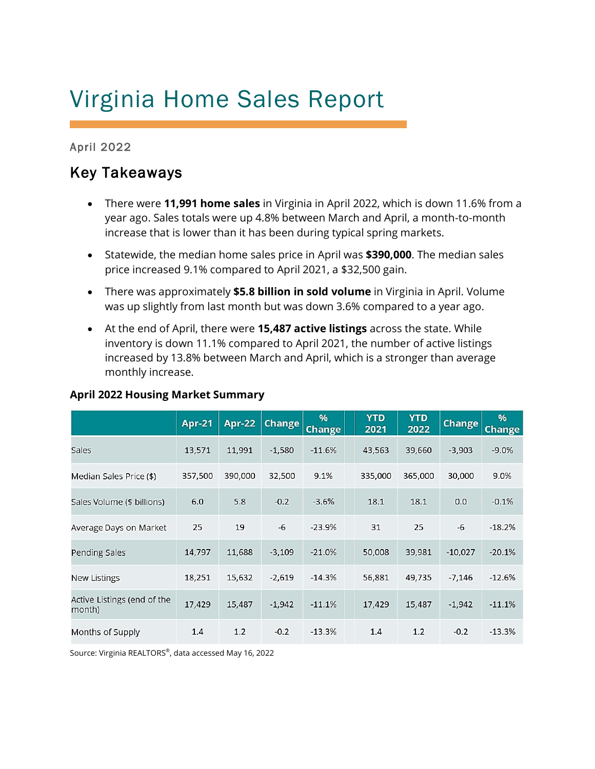# Virginia Home Sales Report

April 2022

# Key Takeaways

- There were **11,991 home sales** in Virginia in April 2022, which is down 11.6% from a year ago. Sales totals were up 4.8% between March and April, a month-to-month increase that is lower than it has been during typical spring markets.
- Statewide, the median home sales price in April was **\$390,000**. The median sales price increased 9.1% compared to April 2021, a \$32,500 gain.
- There was approximately **\$5.8 billion in sold volume** in Virginia in April. Volume was up slightly from last month but was down 3.6% compared to a year ago.
- At the end of April, there were **15,487 active listings** across the state. While inventory is down 11.1% compared to April 2021, the number of active listings increased by 13.8% between March and April, which is a stronger than average monthly increase.

|                                       | <b>Apr-21</b> | Apr-22  | <b>Change</b> | $\frac{9}{6}$<br><b>Change</b> | <b>YTD</b><br>2021 | <b>YTD</b><br>2022 | Change    | %<br><b>Change</b> |
|---------------------------------------|---------------|---------|---------------|--------------------------------|--------------------|--------------------|-----------|--------------------|
| Sales                                 | 13,571        | 11,991  | $-1,580$      | $-11.6%$                       | 43,563             | 39,660             | $-3,903$  | $-9.0%$            |
| Median Sales Price (\$)               | 357,500       | 390,000 | 32,500        | 9.1%                           | 335,000            | 365,000            | 30,000    | 9.0%               |
| Sales Volume (\$ billions)            | 6.0           | 5.8     | $-0.2$        | $-3.6%$                        | 18.1               | 18.1               | 0.0       | $-0.1%$            |
| Average Days on Market                | 25            | 19      | $-6$          | $-23.9%$                       | 31                 | 25                 | $-6$      | $-18.2%$           |
| Pending Sales                         | 14,797        | 11,688  | $-3,109$      | $-21.0%$                       | 50,008             | 39,981             | $-10,027$ | $-20.1%$           |
| <b>New Listings</b>                   | 18,251        | 15,632  | $-2,619$      | $-14.3%$                       | 56,881             | 49,735             | $-7,146$  | $-12.6%$           |
| Active Listings (end of the<br>month) | 17,429        | 15,487  | $-1,942$      | $-11.1%$                       | 17,429             | 15,487             | $-1,942$  | $-11.1%$           |
| Months of Supply                      | 1.4           | 1.2     | $-0.2$        | $-13.3%$                       | 1.4                | 1.2                | $-0.2$    | $-13.3%$           |

# **April 2022 Housing Market Summary**

Source: Virginia REALTORS® , data accessed May 16, 2022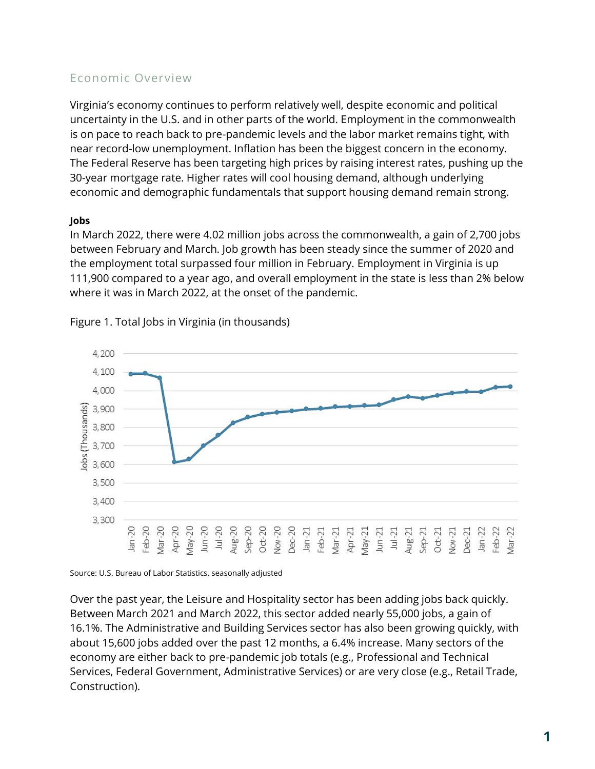# Economic Overview

Virginia's economy continues to perform relatively well, despite economic and political uncertainty in the U.S. and in other parts of the world. Employment in the commonwealth is on pace to reach back to pre-pandemic levels and the labor market remains tight, with near record-low unemployment. Inflation has been the biggest concern in the economy. The Federal Reserve has been targeting high prices by raising interest rates, pushing up the 30-year mortgage rate. Higher rates will cool housing demand, although underlying economic and demographic fundamentals that support housing demand remain strong.

# **Jobs**

In March 2022, there were 4.02 million jobs across the commonwealth, a gain of 2,700 jobs between February and March. Job growth has been steady since the summer of 2020 and the employment total surpassed four million in February. Employment in Virginia is up 111,900 compared to a year ago, and overall employment in the state is less than 2% below where it was in March 2022, at the onset of the pandemic.



Figure 1. Total Jobs in Virginia (in thousands)

Source: U.S. Bureau of Labor Statistics, seasonally adjusted

Over the past year, the Leisure and Hospitality sector has been adding jobs back quickly. Between March 2021 and March 2022, this sector added nearly 55,000 jobs, a gain of 16.1%. The Administrative and Building Services sector has also been growing quickly, with about 15,600 jobs added over the past 12 months, a 6.4% increase. Many sectors of the economy are either back to pre-pandemic job totals (e.g., Professional and Technical Services, Federal Government, Administrative Services) or are very close (e.g., Retail Trade, Construction).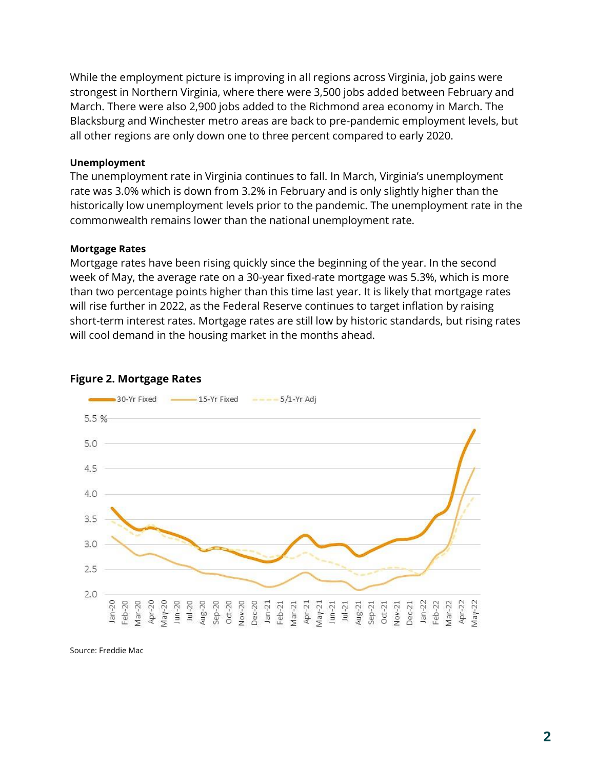While the employment picture is improving in all regions across Virginia, job gains were strongest in Northern Virginia, where there were 3,500 jobs added between February and March. There were also 2,900 jobs added to the Richmond area economy in March. The Blacksburg and Winchester metro areas are back to pre-pandemic employment levels, but all other regions are only down one to three percent compared to early 2020.

#### **Unemployment**

The unemployment rate in Virginia continues to fall. In March, Virginia's unemployment rate was 3.0% which is down from 3.2% in February and is only slightly higher than the historically low unemployment levels prior to the pandemic. The unemployment rate in the commonwealth remains lower than the national unemployment rate.

#### **Mortgage Rates**

Mortgage rates have been rising quickly since the beginning of the year. In the second week of May, the average rate on a 30-year fixed-rate mortgage was 5.3%, which is more than two percentage points higher than this time last year. It is likely that mortgage rates will rise further in 2022, as the Federal Reserve continues to target inflation by raising short-term interest rates. Mortgage rates are still low by historic standards, but rising rates will cool demand in the housing market in the months ahead.



#### **Figure 2. Mortgage Rates**

Source: Freddie Mac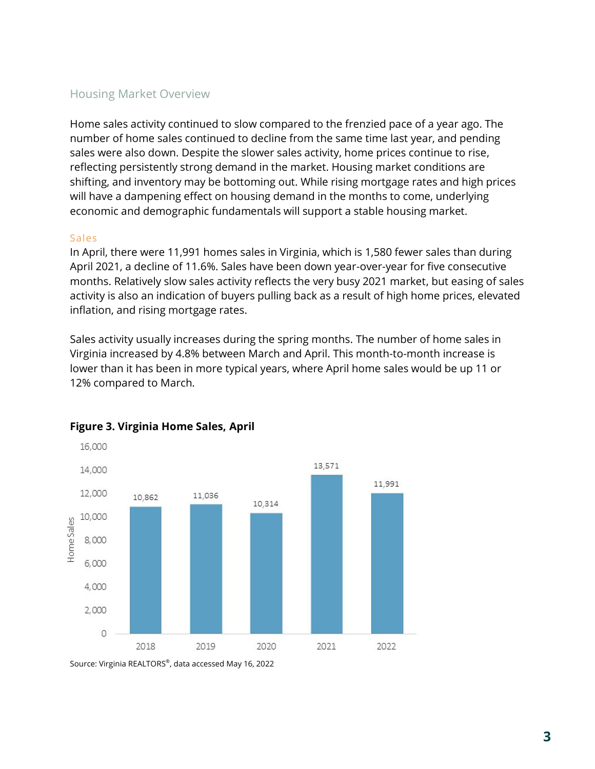# Housing Market Overview

Home sales activity continued to slow compared to the frenzied pace of a year ago. The number of home sales continued to decline from the same time last year, and pending sales were also down. Despite the slower sales activity, home prices continue to rise, reflecting persistently strong demand in the market. Housing market conditions are shifting, and inventory may be bottoming out. While rising mortgage rates and high prices will have a dampening effect on housing demand in the months to come, underlying economic and demographic fundamentals will support a stable housing market.

#### Sales

In April, there were 11,991 homes sales in Virginia, which is 1,580 fewer sales than during April 2021, a decline of 11.6%. Sales have been down year-over-year for five consecutive months. Relatively slow sales activity reflects the very busy 2021 market, but easing of sales activity is also an indication of buyers pulling back as a result of high home prices, elevated inflation, and rising mortgage rates.

Sales activity usually increases during the spring months. The number of home sales in Virginia increased by 4.8% between March and April. This month-to-month increase is lower than it has been in more typical years, where April home sales would be up 11 or 12% compared to March.



# **Figure 3. Virginia Home Sales, April**

Source: Virginia REALTORS® , data accessed May 16, 2022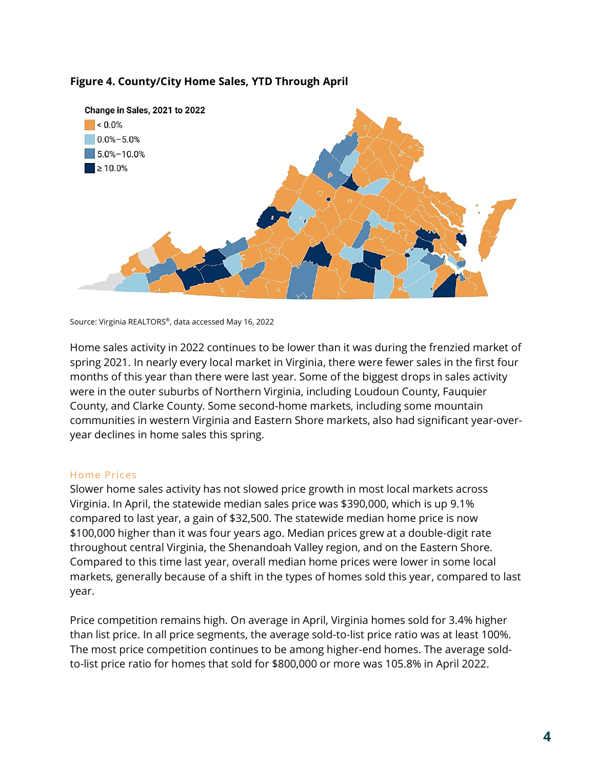# **Figure 4. County/City Home Sales, YTD Through April**



Source: Virginia REALTORS® , data accessed May 16, 2022

Home sales activity in 2022 continues to be lower than it was during the frenzied market of spring 2021. In nearly every local market in Virginia, there were fewer sales in the first four months of this year than there were last year. Some of the biggest drops in sales activity were in the outer suburbs of Northern Virginia, including Loudoun County, Fauquier County, and Clarke County. Some second-home markets, including some mountain communities in western Virginia and Eastern Shore markets, also had significant year-overyear declines in home sales this spring.

#### Home Prices

Slower home sales activity has not slowed price growth in most local markets across Virginia. In April, the statewide median sales price was \$390,000, which is up 9.1% compared to last year, a gain of \$32,500. The statewide median home price is now \$100,000 higher than it was four years ago. Median prices grew at a double-digit rate throughout central Virginia, the Shenandoah Valley region, and on the Eastern Shore. Compared to this time last year, overall median home prices were lower in some local markets, generally because of a shift in the types of homes sold this year, compared to last year.

Price competition remains high. On average in April, Virginia homes sold for 3.4% higher than list price. In all price segments, the average sold-to-list price ratio was at least 100%. The most price competition continues to be among higher-end homes. The average soldto-list price ratio for homes that sold for \$800,000 or more was 105.8% in April 2022.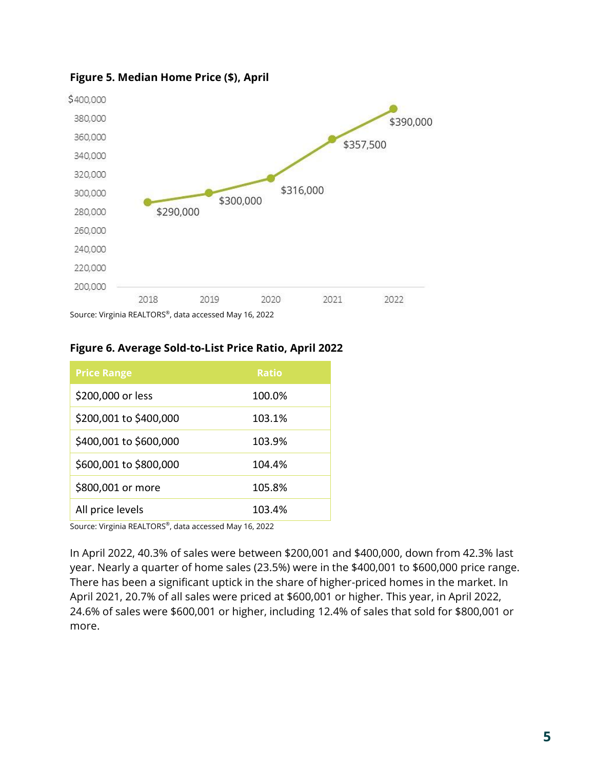

# **Figure 5. Median Home Price (\$), April**

# **Figure 6. Average Sold-to-List Price Ratio, April 2022**

| <b>Price Range</b>     | <b>Ratio</b> |
|------------------------|--------------|
| \$200,000 or less      | 100.0%       |
| \$200,001 to \$400,000 | 103.1%       |
| \$400,001 to \$600,000 | 103.9%       |
| \$600,001 to \$800,000 | 104.4%       |
| \$800,001 or more      | 105.8%       |
| All price levels       | 103.4%       |

Source: Virginia REALTORS® , data accessed May 16, 2022

In April 2022, 40.3% of sales were between \$200,001 and \$400,000, down from 42.3% last year. Nearly a quarter of home sales (23.5%) were in the \$400,001 to \$600,000 price range. There has been a significant uptick in the share of higher-priced homes in the market. In April 2021, 20.7% of all sales were priced at \$600,001 or higher. This year, in April 2022, 24.6% of sales were \$600,001 or higher, including 12.4% of sales that sold for \$800,001 or more.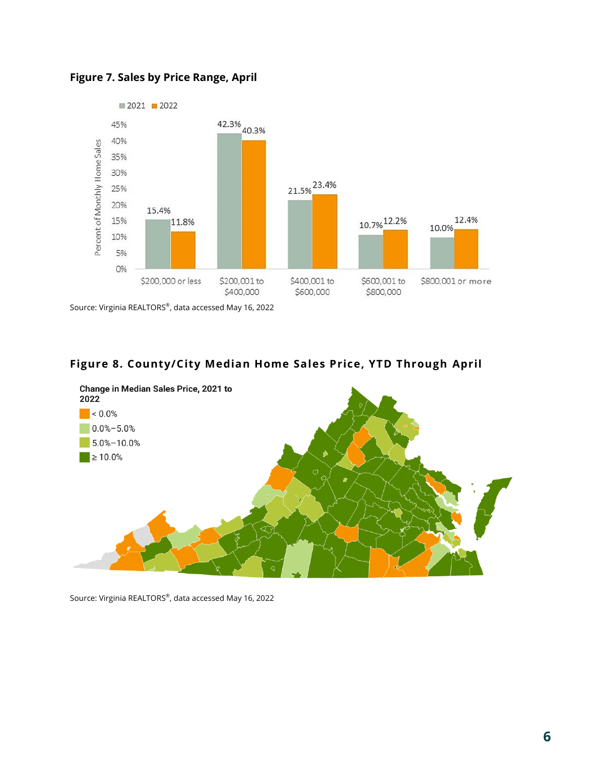

**Figure 7. Sales by Price Range, April**

Source: Virginia REALTORS® , data accessed May 16, 2022

# **Figure 8. County/City Median Home Sales Price, YTD Through April**



Source: Virginia REALTORS® , data accessed May 16, 2022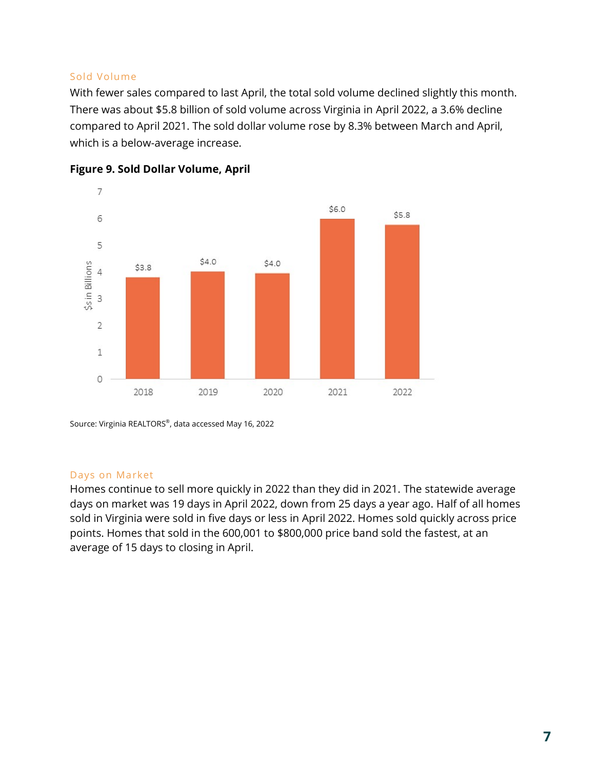## Sold Volume

With fewer sales compared to last April, the total sold volume declined slightly this month. There was about \$5.8 billion of sold volume across Virginia in April 2022, a 3.6% decline compared to April 2021. The sold dollar volume rose by 8.3% between March and April, which is a below-average increase.





Source: Virginia REALTORS® , data accessed May 16, 2022

# Days on Market

Homes continue to sell more quickly in 2022 than they did in 2021. The statewide average days on market was 19 days in April 2022, down from 25 days a year ago. Half of all homes sold in Virginia were sold in five days or less in April 2022. Homes sold quickly across price points. Homes that sold in the 600,001 to \$800,000 price band sold the fastest, at an average of 15 days to closing in April.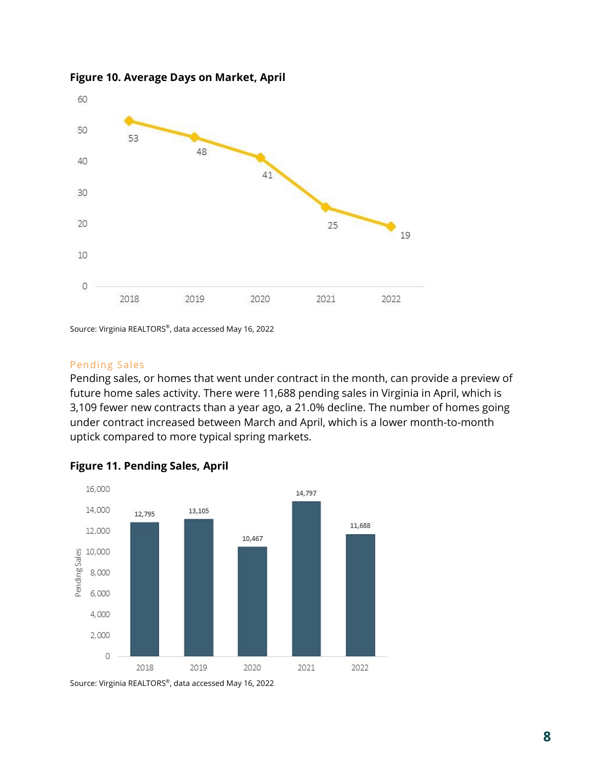

**Figure 10. Average Days on Market, April**

Source: Virginia REALTORS® , data accessed May 16, 2022

#### Pending Sales

Pending sales, or homes that went under contract in the month, can provide a preview of future home sales activity. There were 11,688 pending sales in Virginia in April, which is 3,109 fewer new contracts than a year ago, a 21.0% decline. The number of homes going under contract increased between March and April, which is a lower month-to-month uptick compared to more typical spring markets.



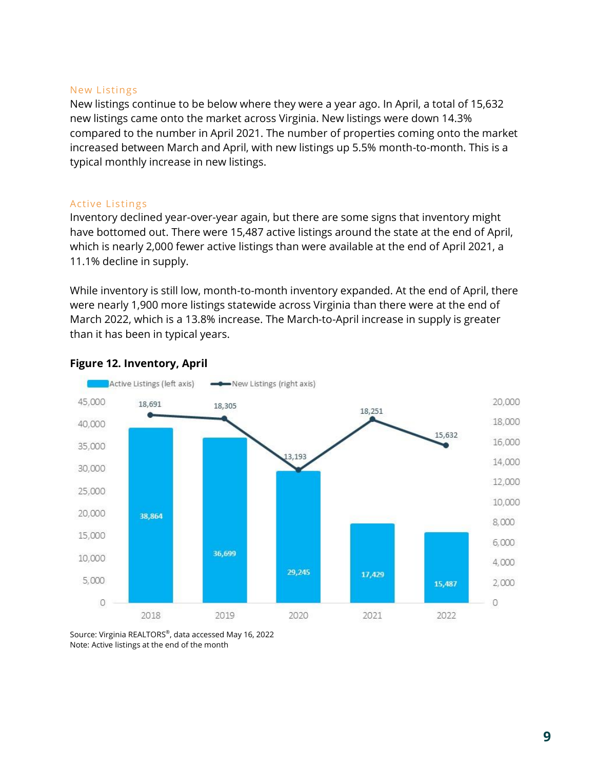#### New Listings

New listings continue to be below where they were a year ago. In April, a total of 15,632 new listings came onto the market across Virginia. New listings were down 14.3% compared to the number in April 2021. The number of properties coming onto the market increased between March and April, with new listings up 5.5% month-to-month. This is a typical monthly increase in new listings.

#### Active Listings

Inventory declined year-over-year again, but there are some signs that inventory might have bottomed out. There were 15,487 active listings around the state at the end of April, which is nearly 2,000 fewer active listings than were available at the end of April 2021, a 11.1% decline in supply.

While inventory is still low, month-to-month inventory expanded. At the end of April, there were nearly 1,900 more listings statewide across Virginia than there were at the end of March 2022, which is a 13.8% increase. The March-to-April increase in supply is greater than it has been in typical years.



#### **Figure 12. Inventory, April**

Source: Virginia REALTORS® , data accessed May 16, 2022 Note: Active listings at the end of the month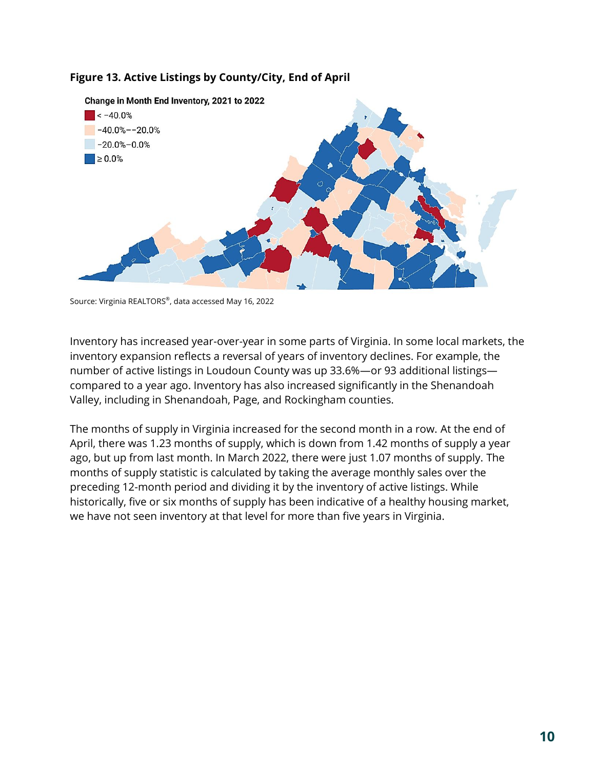



Source: Virginia REALTORS® , data accessed May 16, 2022

Inventory has increased year-over-year in some parts of Virginia. In some local markets, the inventory expansion reflects a reversal of years of inventory declines. For example, the number of active listings in Loudoun County was up 33.6%—or 93 additional listings compared to a year ago. Inventory has also increased significantly in the Shenandoah Valley, including in Shenandoah, Page, and Rockingham counties.

The months of supply in Virginia increased for the second month in a row. At the end of April, there was 1.23 months of supply, which is down from 1.42 months of supply a year ago, but up from last month. In March 2022, there were just 1.07 months of supply. The months of supply statistic is calculated by taking the average monthly sales over the preceding 12-month period and dividing it by the inventory of active listings. While historically, five or six months of supply has been indicative of a healthy housing market, we have not seen inventory at that level for more than five years in Virginia.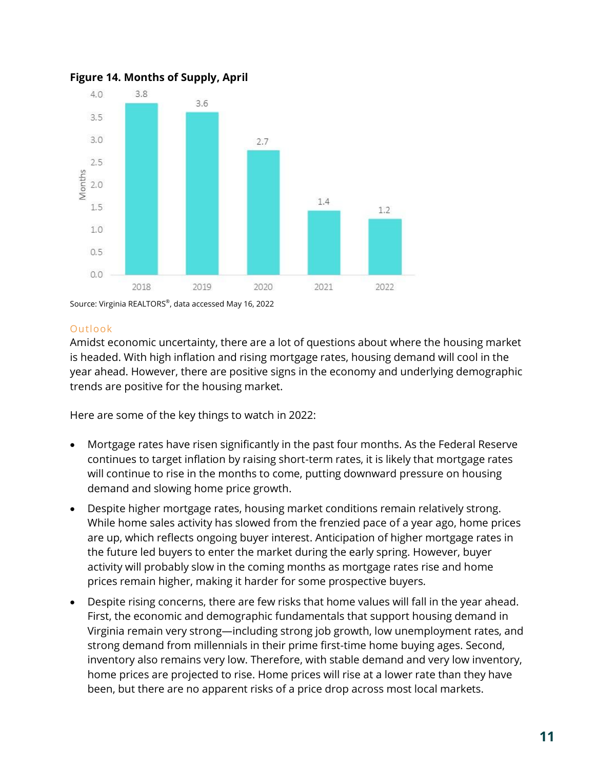

**Figure 14. Months of Supply, April**

Source: Virginia REALTORS® , data accessed May 16, 2022

### Outlook

Amidst economic uncertainty, there are a lot of questions about where the housing market is headed. With high inflation and rising mortgage rates, housing demand will cool in the year ahead. However, there are positive signs in the economy and underlying demographic trends are positive for the housing market.

Here are some of the key things to watch in 2022:

- Mortgage rates have risen significantly in the past four months. As the Federal Reserve continues to target inflation by raising short-term rates, it is likely that mortgage rates will continue to rise in the months to come, putting downward pressure on housing demand and slowing home price growth.
- Despite higher mortgage rates, housing market conditions remain relatively strong. While home sales activity has slowed from the frenzied pace of a year ago, home prices are up, which reflects ongoing buyer interest. Anticipation of higher mortgage rates in the future led buyers to enter the market during the early spring. However, buyer activity will probably slow in the coming months as mortgage rates rise and home prices remain higher, making it harder for some prospective buyers.
- Despite rising concerns, there are few risks that home values will fall in the year ahead. First, the economic and demographic fundamentals that support housing demand in Virginia remain very strong—including strong job growth, low unemployment rates, and strong demand from millennials in their prime first-time home buying ages. Second, inventory also remains very low. Therefore, with stable demand and very low inventory, home prices are projected to rise. Home prices will rise at a lower rate than they have been, but there are no apparent risks of a price drop across most local markets.